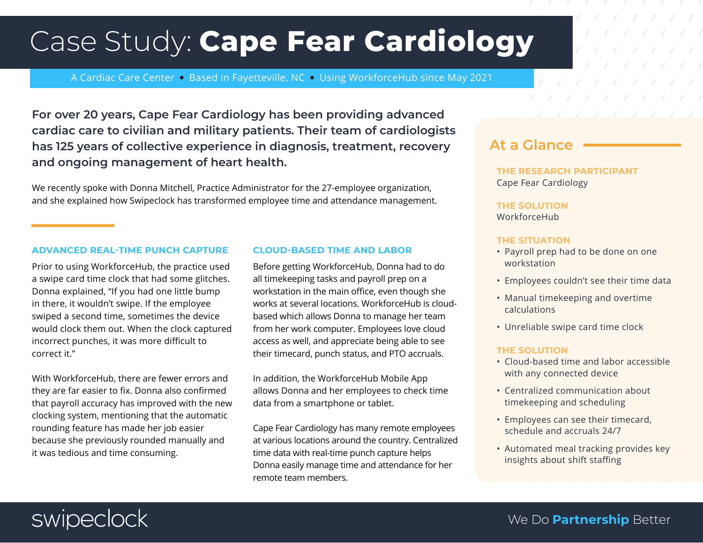# Case Study: Cape Fear Cardiology

A Cardiac Care Center • Based in Fayetteville, NC • Using WorkforceHub since May 2021

For over 20 years, Cape Fear Cardiology has been providing advanced cardiac care to civilian and military patients. Their team of cardiologists has 125 years of collective experience in diagnosis, treatment, recovery and ongoing management of heart health.

We recently spoke with Donna Mitchell, Practice Administrator for the 27-employee organization, and she explained how Swipeclock has transformed employee time and attendance management.

### ADVANCED REAL-TIME PUNCH CAPTURE

Prior to using WorkforceHub, the practice used a swipe card time clock that had some glitches. Donna explained, "If you had one little bump in there, it wouldn't swipe. If the employee swiped a second time, sometimes the device would clock them out. When the clock captured incorrect punches, it was more difficult to correct it."

With WorkforceHub, there are fewer errors and they are far easier to fix. Donna also confirmed that payroll accuracy has improved with the new clocking system, mentioning that the automatic rounding feature has made her job easier because she previously rounded manually and it was tedious and time consuming.

### CLOUD-BASED TIME AND LABOR

Before getting WorkforceHub, Donna had to do all timekeeping tasks and payroll prep on a workstation in the main office, even though she works at several locations. WorkforceHub is cloudbased which allows Donna to manage her team from her work computer. Employees love cloud access as well, and appreciate being able to see their timecard, punch status, and PTO accruals.

In addition, the WorkforceHub Mobile App allows Donna and her employees to check time data from a smartphone or tablet.

Cape Fear Cardiology has many remote employees at various locations around the country. Centralized time data with real-time punch capture helps Donna easily manage time and attendance for her remote team members.

### At a Glance

THE RESEARCH PARTICIPANT Cape Fear Cardiology

THE SOLUTION WorkforceHub

### THE SITUATION

- Payroll prep had to be done on one workstation
- Employees couldn't see their time data
- Manual timekeeping and overtime calculations
- Unreliable swipe card time clock

### THE SOLUTION

- Cloud-based time and labor accessible with any connected device
- Centralized communication about timekeeping and scheduling
- Employees can see their timecard, schedule and accruals 24/7
- Automated meal tracking provides key insights about shift staffing

## swipeclock